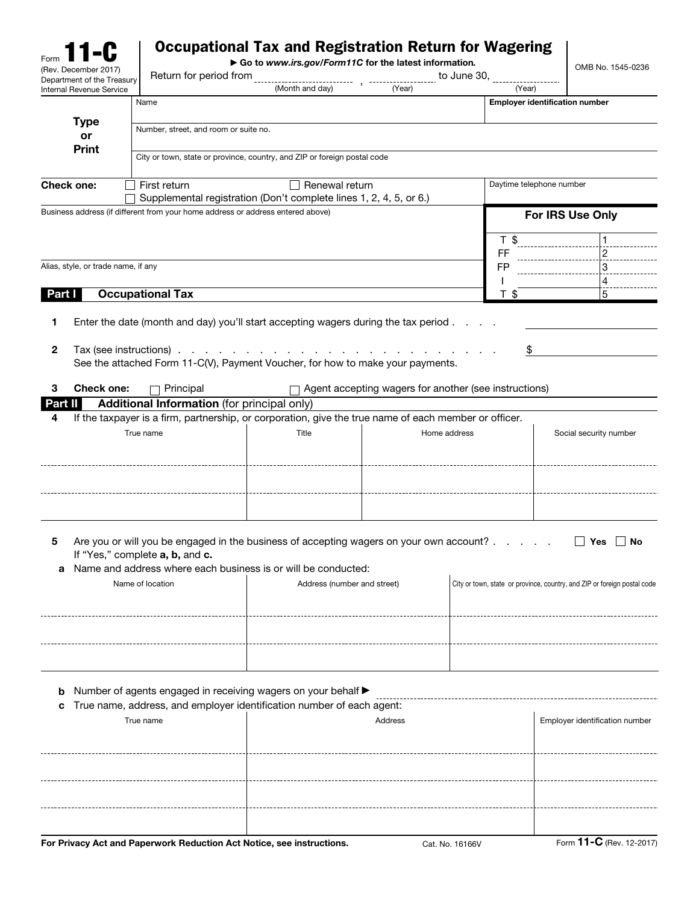| Form                                                          |                                                                                                       | <b>Occupational Tax and Registration Return for Wagering</b>             |              |                                                         |                                                                          |
|---------------------------------------------------------------|-------------------------------------------------------------------------------------------------------|--------------------------------------------------------------------------|--------------|---------------------------------------------------------|--------------------------------------------------------------------------|
| (Rev. December 2017)                                          |                                                                                                       | Go to www.irs.gov/Form11C for the latest information.                    |              |                                                         | OMB No. 1545-0236                                                        |
| Department of the Treasury<br><b>Internal Revenue Service</b> |                                                                                                       | (Month and day)                                                          | (Year)       | (Year)                                                  |                                                                          |
|                                                               | Name                                                                                                  |                                                                          |              |                                                         | <b>Employer identification number</b>                                    |
| <b>Type</b>                                                   |                                                                                                       |                                                                          |              |                                                         |                                                                          |
| or                                                            | Number, street, and room or suite no.                                                                 |                                                                          |              |                                                         |                                                                          |
| <b>Print</b>                                                  |                                                                                                       | City or town, state or province, country, and ZIP or foreign postal code |              |                                                         |                                                                          |
|                                                               |                                                                                                       |                                                                          |              |                                                         |                                                                          |
| <b>Check one:</b>                                             | First return                                                                                          | $\Box$ Renewal return                                                    |              | Daytime telephone number                                |                                                                          |
|                                                               |                                                                                                       | Supplemental registration (Don't complete lines 1, 2, 4, 5, or 6.)       |              |                                                         |                                                                          |
|                                                               | Business address (if different from your home address or address entered above)                       |                                                                          |              |                                                         | For IRS Use Only                                                         |
|                                                               |                                                                                                       |                                                                          |              |                                                         |                                                                          |
|                                                               |                                                                                                       |                                                                          |              | T \$                                                    |                                                                          |
|                                                               |                                                                                                       |                                                                          |              | FF                                                      | $\overline{2}$                                                           |
| Alias, style, or trade name, if any                           |                                                                                                       |                                                                          |              | <b>FP</b>                                               | 3<br>4                                                                   |
| Part I                                                        | <b>Occupational Tax</b>                                                                               |                                                                          |              | T\$                                                     | 5                                                                        |
|                                                               |                                                                                                       |                                                                          |              |                                                         |                                                                          |
| 1                                                             | Enter the date (month and day) you'll start accepting wagers during the tax period.                   |                                                                          |              |                                                         |                                                                          |
|                                                               |                                                                                                       |                                                                          |              |                                                         |                                                                          |
| $\mathbf{2}$                                                  |                                                                                                       |                                                                          |              | \$                                                      |                                                                          |
|                                                               | See the attached Form 11-C(V), Payment Voucher, for how to make your payments.                        |                                                                          |              |                                                         |                                                                          |
| <b>Check one:</b><br>3                                        | Principal                                                                                             |                                                                          |              | □ Agent accepting wagers for another (see instructions) |                                                                          |
| Part II                                                       | <b>Additional Information</b> (for principal only)                                                    |                                                                          |              |                                                         |                                                                          |
| 4                                                             | If the taxpayer is a firm, partnership, or corporation, give the true name of each member or officer. |                                                                          |              |                                                         |                                                                          |
|                                                               | True name                                                                                             | Title                                                                    | Home address |                                                         | Social security number                                                   |
|                                                               |                                                                                                       |                                                                          |              |                                                         |                                                                          |
|                                                               |                                                                                                       |                                                                          |              |                                                         |                                                                          |
|                                                               |                                                                                                       |                                                                          |              |                                                         |                                                                          |
|                                                               |                                                                                                       |                                                                          |              |                                                         |                                                                          |
|                                                               |                                                                                                       |                                                                          |              |                                                         |                                                                          |
|                                                               |                                                                                                       |                                                                          |              |                                                         |                                                                          |
|                                                               | Are you or will you be engaged in the business of accepting wagers on your own account?               |                                                                          |              |                                                         | $\Box$ Yes $\Box$ No                                                     |
|                                                               | If "Yes," complete a, b, and c.                                                                       |                                                                          |              |                                                         |                                                                          |
| a                                                             | Name and address where each business is or will be conducted:                                         |                                                                          |              |                                                         |                                                                          |
|                                                               | Name of location                                                                                      | Address (number and street)                                              |              |                                                         | City or town, state or province, country, and ZIP or foreign postal code |
|                                                               |                                                                                                       |                                                                          |              |                                                         |                                                                          |
|                                                               |                                                                                                       |                                                                          |              |                                                         |                                                                          |
|                                                               |                                                                                                       |                                                                          |              |                                                         |                                                                          |
|                                                               |                                                                                                       |                                                                          |              |                                                         |                                                                          |
|                                                               |                                                                                                       |                                                                          |              |                                                         |                                                                          |
|                                                               |                                                                                                       |                                                                          |              |                                                         |                                                                          |
| b                                                             | Number of agents engaged in receiving wagers on your behalf ▶                                         |                                                                          |              |                                                         |                                                                          |
|                                                               | True name, address, and employer identification number of each agent:                                 |                                                                          |              |                                                         |                                                                          |
| True name                                                     |                                                                                                       |                                                                          | Address      |                                                         | Employer identification number                                           |
|                                                               |                                                                                                       |                                                                          |              |                                                         |                                                                          |
|                                                               |                                                                                                       |                                                                          |              |                                                         |                                                                          |
|                                                               |                                                                                                       |                                                                          |              |                                                         |                                                                          |
|                                                               |                                                                                                       |                                                                          |              |                                                         |                                                                          |
|                                                               |                                                                                                       |                                                                          |              |                                                         |                                                                          |
|                                                               |                                                                                                       |                                                                          |              |                                                         |                                                                          |
|                                                               |                                                                                                       |                                                                          |              |                                                         |                                                                          |

For Privacy Act and Paperwork Reduction Act Notice, see instructions. Cat. No. 16166V Form 11-C (Rev. 12-2017)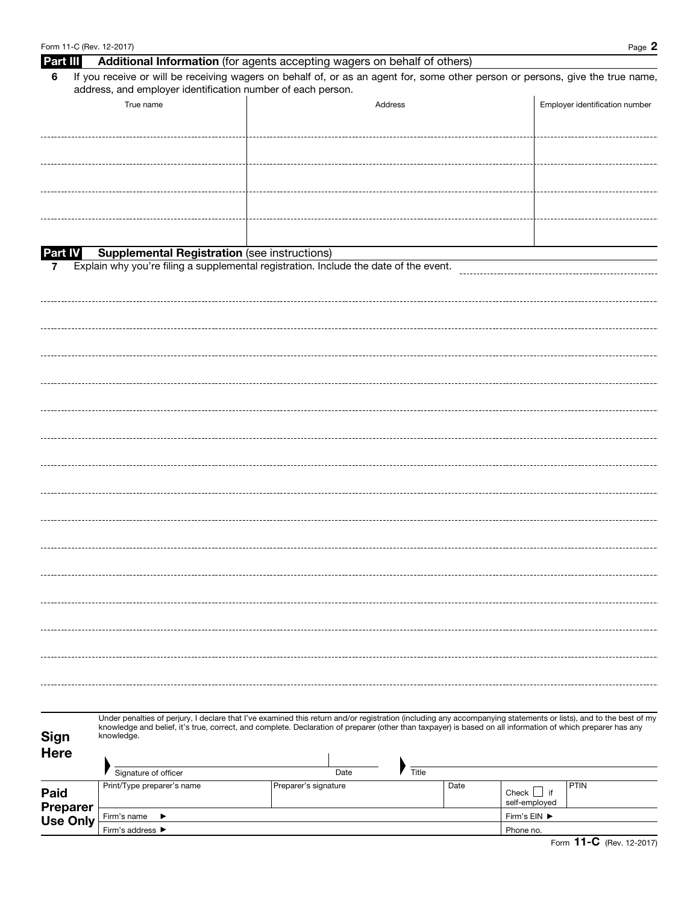| Form 11-C (Rev. 12-2017)           |                                                                                                                                                                                                                                                                                                                                               |                      |         |       |      |                                  | Page 2                         |  |  |  |
|------------------------------------|-----------------------------------------------------------------------------------------------------------------------------------------------------------------------------------------------------------------------------------------------------------------------------------------------------------------------------------------------|----------------------|---------|-------|------|----------------------------------|--------------------------------|--|--|--|
| Part III                           | Additional Information (for agents accepting wagers on behalf of others)                                                                                                                                                                                                                                                                      |                      |         |       |      |                                  |                                |  |  |  |
| 6                                  | If you receive or will be receiving wagers on behalf of, or as an agent for, some other person or persons, give the true name,<br>address, and employer identification number of each person.                                                                                                                                                 |                      |         |       |      |                                  |                                |  |  |  |
|                                    | True name                                                                                                                                                                                                                                                                                                                                     |                      | Address |       |      |                                  | Employer identification number |  |  |  |
|                                    |                                                                                                                                                                                                                                                                                                                                               |                      |         |       |      |                                  |                                |  |  |  |
|                                    |                                                                                                                                                                                                                                                                                                                                               |                      |         |       |      |                                  |                                |  |  |  |
|                                    |                                                                                                                                                                                                                                                                                                                                               |                      |         |       |      |                                  |                                |  |  |  |
|                                    |                                                                                                                                                                                                                                                                                                                                               |                      |         |       |      |                                  |                                |  |  |  |
| <b>Part IV</b>                     | <b>Supplemental Registration (see instructions)</b>                                                                                                                                                                                                                                                                                           |                      |         |       |      |                                  |                                |  |  |  |
| 7                                  | Explain why you're filing a supplemental registration. Include the date of the event.                                                                                                                                                                                                                                                         |                      |         |       |      |                                  |                                |  |  |  |
|                                    |                                                                                                                                                                                                                                                                                                                                               |                      |         |       |      |                                  |                                |  |  |  |
|                                    |                                                                                                                                                                                                                                                                                                                                               |                      |         |       |      |                                  |                                |  |  |  |
|                                    |                                                                                                                                                                                                                                                                                                                                               |                      |         |       |      |                                  |                                |  |  |  |
|                                    |                                                                                                                                                                                                                                                                                                                                               |                      |         |       |      |                                  |                                |  |  |  |
|                                    |                                                                                                                                                                                                                                                                                                                                               |                      |         |       |      |                                  |                                |  |  |  |
|                                    |                                                                                                                                                                                                                                                                                                                                               |                      |         |       |      |                                  |                                |  |  |  |
|                                    |                                                                                                                                                                                                                                                                                                                                               |                      |         |       |      |                                  |                                |  |  |  |
|                                    |                                                                                                                                                                                                                                                                                                                                               |                      |         |       |      |                                  |                                |  |  |  |
|                                    |                                                                                                                                                                                                                                                                                                                                               |                      |         |       |      |                                  |                                |  |  |  |
|                                    |                                                                                                                                                                                                                                                                                                                                               |                      |         |       |      |                                  |                                |  |  |  |
|                                    |                                                                                                                                                                                                                                                                                                                                               |                      |         |       |      |                                  |                                |  |  |  |
|                                    |                                                                                                                                                                                                                                                                                                                                               |                      |         |       |      |                                  |                                |  |  |  |
|                                    |                                                                                                                                                                                                                                                                                                                                               |                      |         |       |      |                                  |                                |  |  |  |
|                                    |                                                                                                                                                                                                                                                                                                                                               |                      |         |       |      |                                  |                                |  |  |  |
|                                    |                                                                                                                                                                                                                                                                                                                                               |                      |         |       |      |                                  |                                |  |  |  |
|                                    |                                                                                                                                                                                                                                                                                                                                               |                      |         |       |      |                                  |                                |  |  |  |
| <b>Sign</b>                        | Under penalties of perjury, I declare that I've examined this return and/or registration (including any accompanying statements or lists), and to the best of my<br>knowledge and belief, it's true, correct, and complete. Declaration of preparer (other than taxpayer) is based on all information of which preparer has any<br>knowledge. |                      |         |       |      |                                  |                                |  |  |  |
| <b>Here</b>                        | Signature of officer                                                                                                                                                                                                                                                                                                                          |                      | Date    | Title |      |                                  |                                |  |  |  |
| Paid                               | Print/Type preparer's name                                                                                                                                                                                                                                                                                                                    | Preparer's signature |         |       | Date | Check $\Box$ if<br>self-employed | PTIN                           |  |  |  |
| <b>Preparer</b><br><b>Use Only</b> | Firm's name<br>▶                                                                                                                                                                                                                                                                                                                              |                      |         |       |      |                                  |                                |  |  |  |
|                                    | Firm's address ▶                                                                                                                                                                                                                                                                                                                              | Phone no.            |         |       |      |                                  |                                |  |  |  |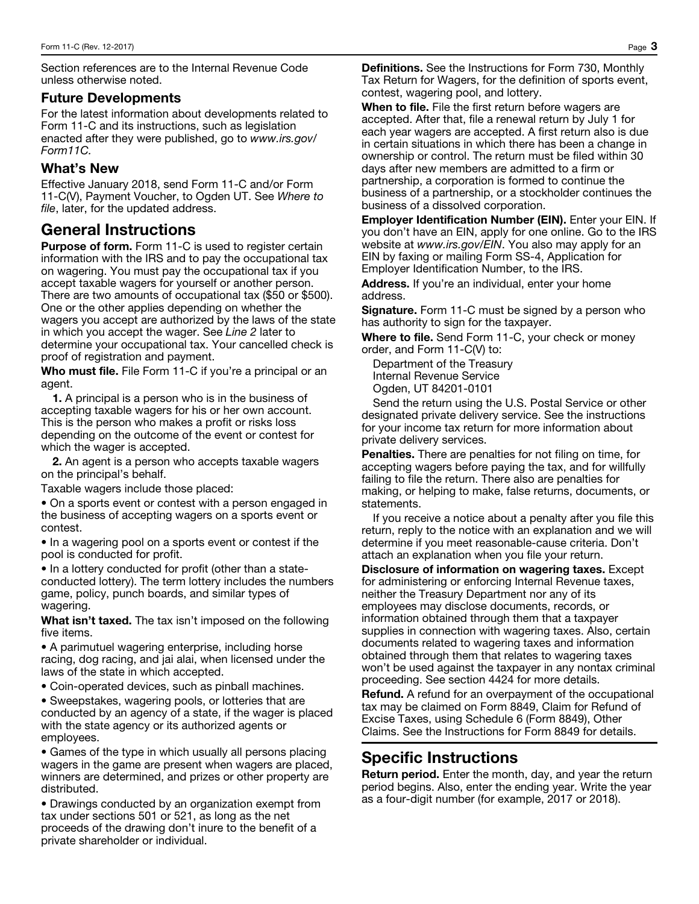Section references are to the Internal Revenue Code unless otherwise noted.

### Future Developments

For the latest information about developments related to Form 11-C and its instructions, such as legislation enacted after they were published, go to *www.irs.gov/ Form11C.* 

## What's New

Effective January 2018, send Form 11-C and/or Form 11-C(V), Payment Voucher, to Ogden UT. See *Where to file*, later, for the updated address.

# General Instructions

**Purpose of form.** Form 11-C is used to register certain information with the IRS and to pay the occupational tax on wagering. You must pay the occupational tax if you accept taxable wagers for yourself or another person. There are two amounts of occupational tax (\$50 or \$500). One or the other applies depending on whether the wagers you accept are authorized by the laws of the state in which you accept the wager. See *Line 2* later to determine your occupational tax. Your cancelled check is proof of registration and payment.

Who must file. File Form 11-C if you're a principal or an agent.

1. A principal is a person who is in the business of accepting taxable wagers for his or her own account. This is the person who makes a profit or risks loss depending on the outcome of the event or contest for which the wager is accepted.

2. An agent is a person who accepts taxable wagers on the principal's behalf.

Taxable wagers include those placed:

• On a sports event or contest with a person engaged in the business of accepting wagers on a sports event or contest.

• In a wagering pool on a sports event or contest if the pool is conducted for profit.

• In a lottery conducted for profit (other than a stateconducted lottery). The term lottery includes the numbers game, policy, punch boards, and similar types of wagering.

What isn't taxed. The tax isn't imposed on the following five items.

• A parimutuel wagering enterprise, including horse racing, dog racing, and jai alai, when licensed under the laws of the state in which accepted.

• Coin-operated devices, such as pinball machines.

• Sweepstakes, wagering pools, or lotteries that are conducted by an agency of a state, if the wager is placed with the state agency or its authorized agents or employees.

• Games of the type in which usually all persons placing wagers in the game are present when wagers are placed, winners are determined, and prizes or other property are distributed.

• Drawings conducted by an organization exempt from tax under sections 501 or 521, as long as the net proceeds of the drawing don't inure to the benefit of a private shareholder or individual.

Definitions. See the Instructions for Form 730, Monthly Tax Return for Wagers, for the definition of sports event, contest, wagering pool, and lottery.

When to file. File the first return before wagers are accepted. After that, file a renewal return by July 1 for each year wagers are accepted. A first return also is due in certain situations in which there has been a change in ownership or control. The return must be filed within 30 days after new members are admitted to a firm or partnership, a corporation is formed to continue the business of a partnership, or a stockholder continues the business of a dissolved corporation.

Employer Identification Number (EIN). Enter your EIN. If you don't have an EIN, apply for one online. Go to the IRS website at *www.irs.gov/EIN*. You also may apply for an EIN by faxing or mailing Form SS-4, Application for Employer Identification Number, to the IRS.

Address. If you're an individual, enter your home address.

**Signature.** Form 11-C must be signed by a person who has authority to sign for the taxpayer.

Where to file. Send Form 11-C, your check or money order, and Form 11-C(V) to:

Department of the Treasury Internal Revenue Service Ogden, UT 84201-0101

Send the return using the U.S. Postal Service or other designated private delivery service. See the instructions for your income tax return for more information about private delivery services.

Penalties. There are penalties for not filing on time, for accepting wagers before paying the tax, and for willfully failing to file the return. There also are penalties for making, or helping to make, false returns, documents, or statements.

If you receive a notice about a penalty after you file this return, reply to the notice with an explanation and we will determine if you meet reasonable-cause criteria. Don't attach an explanation when you file your return.

Disclosure of information on wagering taxes. Except for administering or enforcing Internal Revenue taxes, neither the Treasury Department nor any of its employees may disclose documents, records, or information obtained through them that a taxpayer supplies in connection with wagering taxes. Also, certain documents related to wagering taxes and information obtained through them that relates to wagering taxes won't be used against the taxpayer in any nontax criminal proceeding. See section 4424 for more details.

Refund. A refund for an overpayment of the occupational tax may be claimed on Form 8849, Claim for Refund of Excise Taxes, using Schedule 6 (Form 8849), Other Claims. See the Instructions for Form 8849 for details.

# Specific Instructions

Return period. Enter the month, day, and year the return period begins. Also, enter the ending year. Write the year as a four-digit number (for example, 2017 or 2018).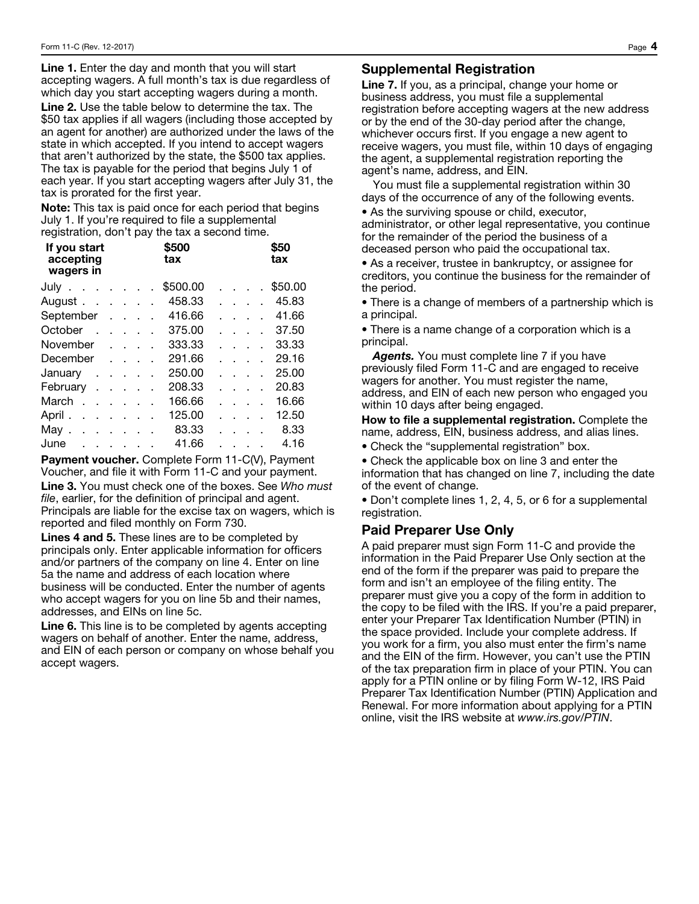Line 1. Enter the day and month that you will start accepting wagers. A full month's tax is due regardless of which day you start accepting wagers during a month.

Line 2. Use the table below to determine the tax. The \$50 tax applies if all wagers (including those accepted by an agent for another) are authorized under the laws of the state in which accepted. If you intend to accept wagers that aren't authorized by the state, the \$500 tax applies. The tax is payable for the period that begins July 1 of each year. If you start accepting wagers after July 31, the tax is prorated for the first year.

Note: This tax is paid once for each period that begins July 1. If you're required to file a supplemental registration, don't pay the tax a second time.

| If you start<br>accepting<br>wagers in |  |  | \$500<br>tax |  |                                   | \$50<br>tax |
|----------------------------------------|--|--|--------------|--|-----------------------------------|-------------|
| July $\cdots$ $\cdots$                 |  |  | \$500.00     |  |                                   | \$50.00     |
| August                                 |  |  | 458.33       |  | $\sim 10^{-1}$ and $\sim 10^{-1}$ | 45.83       |
| September                              |  |  | 416.66       |  | $\sim 10^{-1}$ and $\sim 10^{-1}$ | 41.66       |
| October                                |  |  | 375.00       |  |                                   | 37.50       |
| November                               |  |  | 333.33       |  |                                   | 33.33       |
| December                               |  |  | 291.66       |  |                                   | 29.16       |
| January $\cdots$                       |  |  | 250.00       |  |                                   | 25.00       |
| February                               |  |  | 208.33       |  |                                   | 20.83       |
| March                                  |  |  | 166.66       |  |                                   | 16.66       |
| April                                  |  |  | 125.00       |  | $\sim$ $\sim$ $\sim$              | 12.50       |
| May $\ldots$ $\ldots$ $\ldots$         |  |  | 83.33        |  |                                   | 8.33        |
| June                                   |  |  | 41.66        |  |                                   | 4.16        |

Payment voucher. Complete Form 11-C(V), Payment Voucher, and file it with Form 11-C and your payment. Line 3. You must check one of the boxes. See *Who must file*, earlier, for the definition of principal and agent. Principals are liable for the excise tax on wagers, which is reported and filed monthly on Form 730.

Lines 4 and 5. These lines are to be completed by principals only. Enter applicable information for officers and/or partners of the company on line 4. Enter on line 5a the name and address of each location where business will be conducted. Enter the number of agents who accept wagers for you on line 5b and their names, addresses, and EINs on line 5c.

Line 6. This line is to be completed by agents accepting wagers on behalf of another. Enter the name, address, and EIN of each person or company on whose behalf you accept wagers.

#### Supplemental Registration

Line 7. If you, as a principal, change your home or business address, you must file a supplemental registration before accepting wagers at the new address or by the end of the 30-day period after the change, whichever occurs first. If you engage a new agent to receive wagers, you must file, within 10 days of engaging the agent, a supplemental registration reporting the agent's name, address, and EIN.

You must file a supplemental registration within 30 days of the occurrence of any of the following events.

• As the surviving spouse or child, executor, administrator, or other legal representative, you continue for the remainder of the period the business of a deceased person who paid the occupational tax.

• As a receiver, trustee in bankruptcy, or assignee for creditors, you continue the business for the remainder of the period.

• There is a change of members of a partnership which is a principal.

• There is a name change of a corporation which is a principal.

*Agents.* You must complete line 7 if you have previously filed Form 11-C and are engaged to receive wagers for another. You must register the name, address, and EIN of each new person who engaged you within 10 days after being engaged.

How to file a supplemental registration. Complete the name, address, EIN, business address, and alias lines.

• Check the "supplemental registration" box.

• Check the applicable box on line 3 and enter the information that has changed on line 7, including the date of the event of change.

• Don't complete lines 1, 2, 4, 5, or 6 for a supplemental registration.

#### Paid Preparer Use Only

A paid preparer must sign Form 11-C and provide the information in the Paid Preparer Use Only section at the end of the form if the preparer was paid to prepare the form and isn't an employee of the filing entity. The preparer must give you a copy of the form in addition to the copy to be filed with the IRS. If you're a paid preparer, enter your Preparer Tax Identification Number (PTIN) in the space provided. Include your complete address. If you work for a firm, you also must enter the firm's name and the EIN of the firm. However, you can't use the PTIN of the tax preparation firm in place of your PTIN. You can apply for a PTIN online or by filing Form W-12, IRS Paid Preparer Tax Identification Number (PTIN) Application and Renewal. For more information about applying for a PTIN online, visit the IRS website at *www.irs.gov/PTIN*.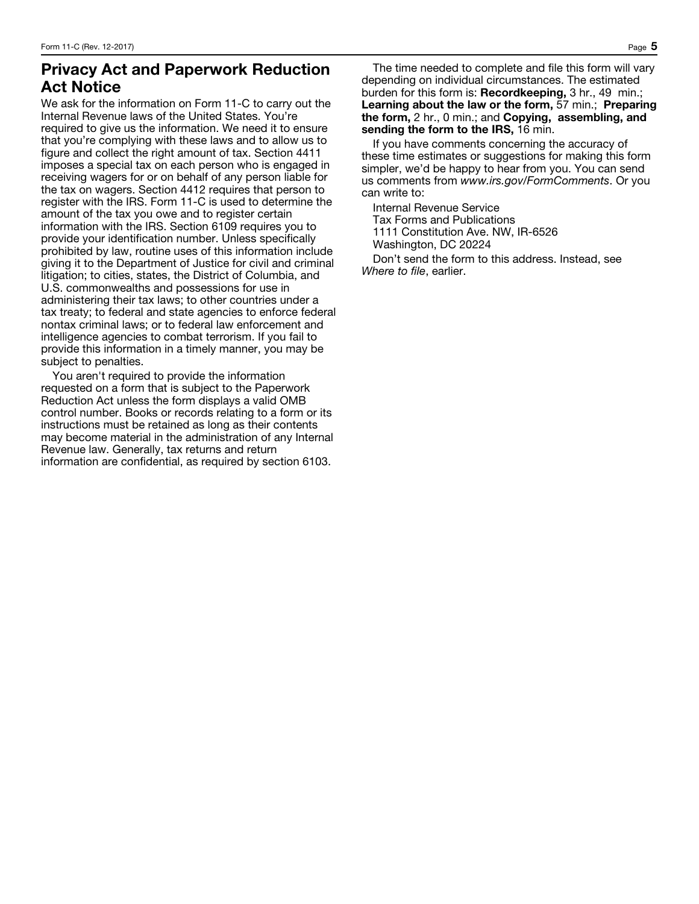## Privacy Act and Paperwork Reduction Act Notice

We ask for the information on Form 11-C to carry out the Internal Revenue laws of the United States. You're required to give us the information. We need it to ensure that you're complying with these laws and to allow us to figure and collect the right amount of tax. Section 4411 imposes a special tax on each person who is engaged in receiving wagers for or on behalf of any person liable for the tax on wagers. Section 4412 requires that person to register with the IRS. Form 11-C is used to determine the amount of the tax you owe and to register certain information with the IRS. Section 6109 requires you to provide your identification number. Unless specifically prohibited by law, routine uses of this information include giving it to the Department of Justice for civil and criminal litigation; to cities, states, the District of Columbia, and U.S. commonwealths and possessions for use in administering their tax laws; to other countries under a tax treaty; to federal and state agencies to enforce federal nontax criminal laws; or to federal law enforcement and intelligence agencies to combat terrorism. If you fail to provide this information in a timely manner, you may be subject to penalties.

You aren't required to provide the information requested on a form that is subject to the Paperwork Reduction Act unless the form displays a valid OMB control number. Books or records relating to a form or its instructions must be retained as long as their contents may become material in the administration of any Internal Revenue law. Generally, tax returns and return information are confidential, as required by section 6103.

The time needed to complete and file this form will vary depending on individual circumstances. The estimated burden for this form is: Recordkeeping, 3 hr., 49 min.; Learning about the law or the form, 57 min.; Preparing the form, 2 hr., 0 min.; and Copying, assembling, and sending the form to the IRS, 16 min.

If you have comments concerning the accuracy of these time estimates or suggestions for making this form simpler, we'd be happy to hear from you. You can send us comments from *www.irs.gov/FormComments*. Or you can write to:

Internal Revenue Service Tax Forms and Publications 1111 Constitution Ave. NW, IR-6526 Washington, DC 20224 Don't send the form to this address. Instead, see

*Where to file*, earlier.